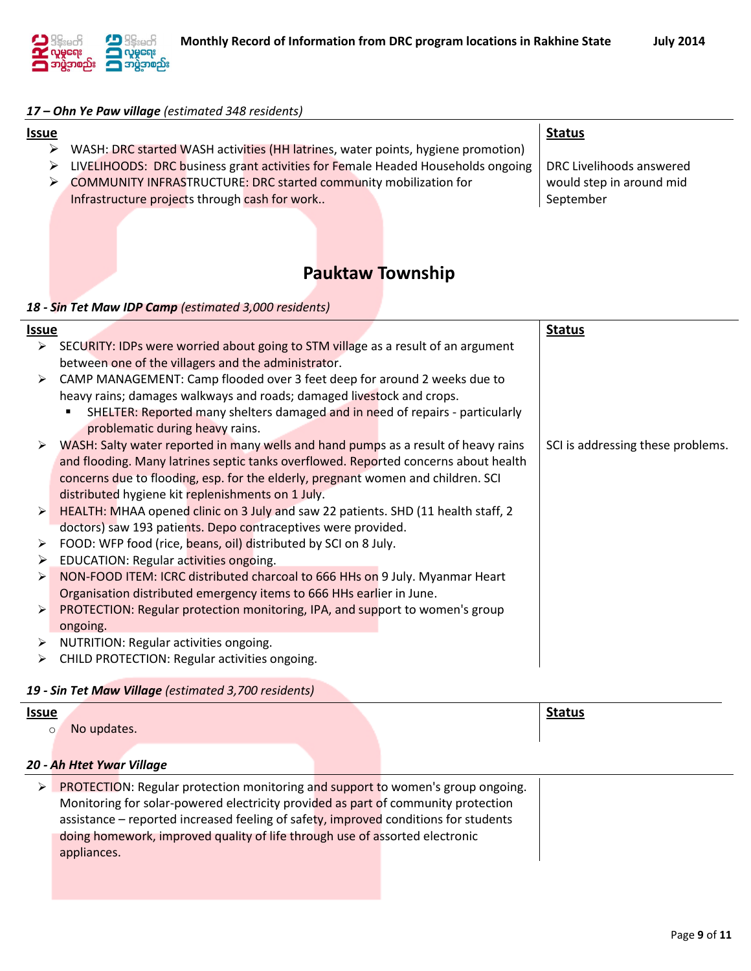

### *17 – Ohn Ye Paw village (estimated 348 residents)*

#### **Issue** WASH: DRC started WASH activities (HH latrines, water points, hygiene promotion) EUVELIHOODS: DRC business grant activities for Female Headed Households ongoing COMMUNITY INFRASTRUCTURE: DRC started community mobilization for Infrastructure projects through cash for work.. **Status** DRC Livelihoods answered would step in around mid September

# **Pauktaw Township**

#### *18 - Sin Tet Maw IDP Camp (estimated 3,000 residents)*

| <u>Issue</u>          |                                                                                     | <b>Status</b>                     |
|-----------------------|-------------------------------------------------------------------------------------|-----------------------------------|
| ≻                     | SECURITY: IDPs were worried about going to STM village as a result of an argument   |                                   |
|                       | between one of the villagers and the administrator.                                 |                                   |
| ➤                     | CAMP MANAGEMENT: Camp flooded over 3 feet deep for around 2 weeks due to            |                                   |
|                       | heavy rains; damages walkways and roads; damaged livestock and crops.               |                                   |
|                       | SHELTER: Reported many shelters damaged and in need of repairs - particularly       |                                   |
|                       | problematic during heavy rains.                                                     |                                   |
| ≻                     | WASH: Salty water reported in many wells and hand pumps as a result of heavy rains  | SCI is addressing these problems. |
|                       | and flooding. Many latrines septic tanks overflowed. Reported concerns about health |                                   |
|                       | concerns due to flooding, esp. for the elderly, pregnant women and children. SCI    |                                   |
|                       | distributed hygiene kit replenishments on 1 July.                                   |                                   |
| $\blacktriangleright$ | HEALTH: MHAA opened clinic on 3 July and saw 22 patients. SHD (11 health staff, 2   |                                   |
|                       | doctors) saw 193 patients. Depo contraceptives were provided.                       |                                   |
| ➤                     | FOOD: WFP food (rice, beans, oil) distributed by SCI on 8 July.                     |                                   |
| ➤                     | EDUCATION: Regular activities ongoing.                                              |                                   |
| ≻                     | NON-FOOD ITEM: ICRC distributed charcoal to 666 HHs on 9 July. Myanmar Heart        |                                   |
|                       | Organisation distributed emergency items to 666 HHs earlier in June.                |                                   |
| ➤                     | PROTECTION: Regular protection monitoring, IPA, and support to women's group        |                                   |
|                       | ongoing.                                                                            |                                   |
| ➤                     | NUTRITION: Regular activities ongoing.                                              |                                   |
| ➤                     | CHILD PROTECTION: Regular activities ongoing.                                       |                                   |

CHILD PROTECTION: Regular activities ongoing.

## *19 - Sin Tet Maw Village (estimated 3,700 residents)*

| <b>Issue</b> |                                                                                     |  | <b>Status</b> |
|--------------|-------------------------------------------------------------------------------------|--|---------------|
| $\circ$      | No updates.                                                                         |  |               |
|              | 20 - Ah Htet Ywar Village                                                           |  |               |
|              | PROTECTION: Regular protection monitoring and support to women's group ongoing.     |  |               |
|              | Monitoring for solar-powered electricity provided as part of community protection   |  |               |
|              | assistance – reported increased feeling of safety, improved conditions for students |  |               |
|              | doing homework, improved quality of life through use of assorted electronic         |  |               |
|              | appliances.                                                                         |  |               |
|              |                                                                                     |  |               |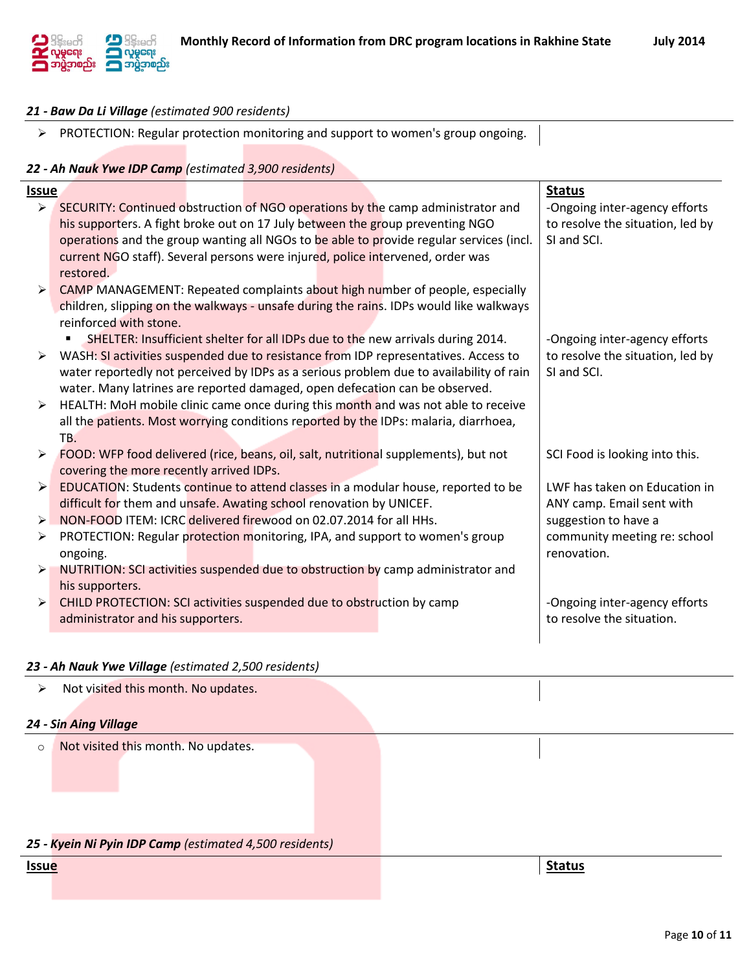

Page **10** of **11**

## *21 - Baw Da Li Village (estimated 900 residents)*

> PROTECTION: Regular protection monitoring and support to women's group ongoing.

## *22 - Ah Nauk Ywe IDP Camp (estimated 3,900 residents)*

| Issue                 |                                                                                         |                                                                                         |  | <b>Status</b>                    |
|-----------------------|-----------------------------------------------------------------------------------------|-----------------------------------------------------------------------------------------|--|----------------------------------|
| $\blacktriangleright$ |                                                                                         | SECURITY: Continued obstruction of NGO operations by the camp administrator and         |  | -Ongoing inter-agency efforts    |
|                       | his supporters. A fight broke out on 17 July between the group preventing NGO           |                                                                                         |  | to resolve the situation, led by |
|                       | operations and the group wanting all NGOs to be able to provide regular services (incl. |                                                                                         |  | SI and SCI.                      |
|                       |                                                                                         | current NGO staff). Several persons were injured, police intervened, order was          |  |                                  |
|                       | restored.                                                                               |                                                                                         |  |                                  |
| $\blacktriangleright$ |                                                                                         | CAMP MANAGEMENT: Repeated complaints about high number of people, especially            |  |                                  |
|                       | children, slipping on the walkways - unsafe during the rains. IDPs would like walkways  |                                                                                         |  |                                  |
|                       | reinforced with stone.                                                                  |                                                                                         |  |                                  |
|                       |                                                                                         | SHELTER: Insufficient shelter for all IDPs due to the new arrivals during 2014.         |  | -Ongoing inter-agency efforts    |
|                       |                                                                                         | WASH: SI activities suspended due to resistance from IDP representatives. Access to     |  | to resolve the situation, led by |
|                       |                                                                                         | water reportedly not perceived by IDPs as a serious problem due to availability of rain |  | SI and SCI.                      |
|                       |                                                                                         | water. Many latrines are reported damaged, open defecation can be observed.             |  |                                  |
| ≻                     | HEALTH: MoH mobile clinic came once during this month and was not able to receive       |                                                                                         |  |                                  |
|                       |                                                                                         | all the patients. Most worrying conditions reported by the IDPs: malaria, diarrhoea,    |  |                                  |
|                       | TB.                                                                                     |                                                                                         |  |                                  |
| ≻                     |                                                                                         | FOOD: WFP food delivered (rice, beans, oil, salt, nutritional supplements), but not     |  | SCI Food is looking into this.   |
|                       | covering the more recently arrived IDPs.                                                |                                                                                         |  |                                  |
| ➤                     |                                                                                         | EDUCATION: Students continue to attend classes in a modular house, reported to be       |  | LWF has taken on Education in    |
|                       |                                                                                         | difficult for them and unsafe. Awating school renovation by UNICEF.                     |  | ANY camp. Email sent with        |
| $\blacktriangleright$ |                                                                                         | NON-FOOD ITEM: ICRC delivered firewood on 02.07.2014 for all HHs.                       |  | suggestion to have a             |
| ➤                     |                                                                                         | PROTECTION: Regular protection monitoring, IPA, and support to women's group            |  | community meeting re: school     |
|                       | ongoing.                                                                                |                                                                                         |  | renovation.                      |
| ➤                     |                                                                                         | NUTRITION: SCI activities suspended due to obstruction by camp administrator and        |  |                                  |
|                       | his supporters.                                                                         |                                                                                         |  |                                  |
| $\blacktriangleright$ |                                                                                         | CHILD PROTECTION: SCI activities suspended due to obstruction by camp                   |  | -Ongoing inter-agency efforts    |
|                       | administrator and his supporters.                                                       |                                                                                         |  | to resolve the situation.        |
|                       |                                                                                         |                                                                                         |  |                                  |

### *23 - Ah Nauk Ywe Village (estimated 2,500 residents)*

| ➤            | Not visited this month. No updates.                     |  |               |
|--------------|---------------------------------------------------------|--|---------------|
|              | 24 - Sin Aing Village                                   |  |               |
| $\circ$      | Not visited this month. No updates.                     |  |               |
|              |                                                         |  |               |
|              |                                                         |  |               |
|              |                                                         |  |               |
|              | 25 - Kyein Ni Pyin IDP Camp (estimated 4,500 residents) |  |               |
| <b>Issue</b> |                                                         |  | <b>Status</b> |